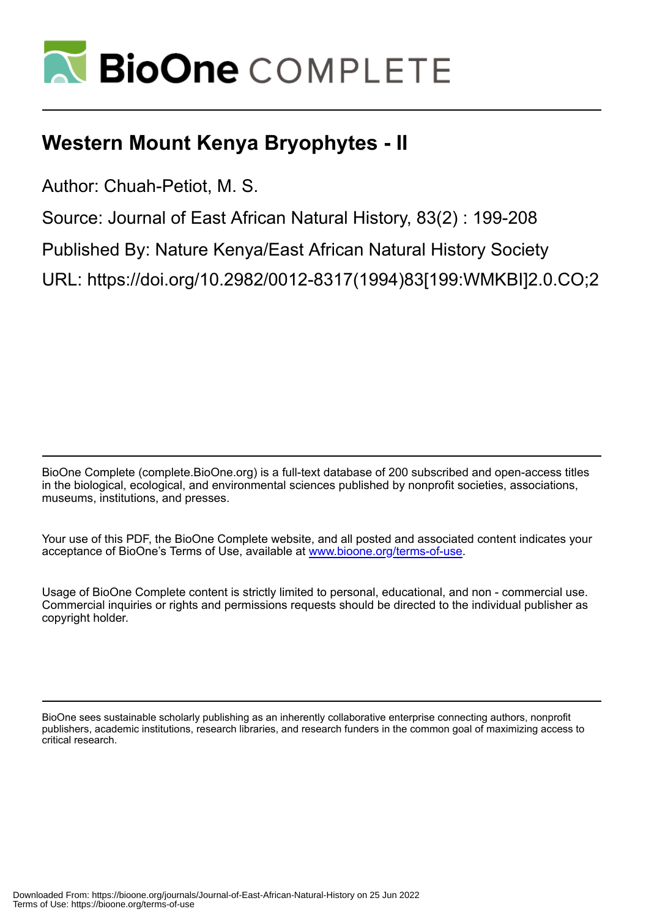

# **Western Mount Kenya Bryophytes - II**

Author: Chuah-Petiot, M. S.

Source: Journal of East African Natural History, 83(2) : 199-208

Published By: Nature Kenya/East African Natural History Society

URL: https://doi.org/10.2982/0012-8317(1994)83[199:WMKBI]2.0.CO;2

BioOne Complete (complete.BioOne.org) is a full-text database of 200 subscribed and open-access titles in the biological, ecological, and environmental sciences published by nonprofit societies, associations, museums, institutions, and presses.

Your use of this PDF, the BioOne Complete website, and all posted and associated content indicates your acceptance of BioOne's Terms of Use, available at www.bioone.org/terms-of-use.

Usage of BioOne Complete content is strictly limited to personal, educational, and non - commercial use. Commercial inquiries or rights and permissions requests should be directed to the individual publisher as copyright holder.

BioOne sees sustainable scholarly publishing as an inherently collaborative enterprise connecting authors, nonprofit publishers, academic institutions, research libraries, and research funders in the common goal of maximizing access to critical research.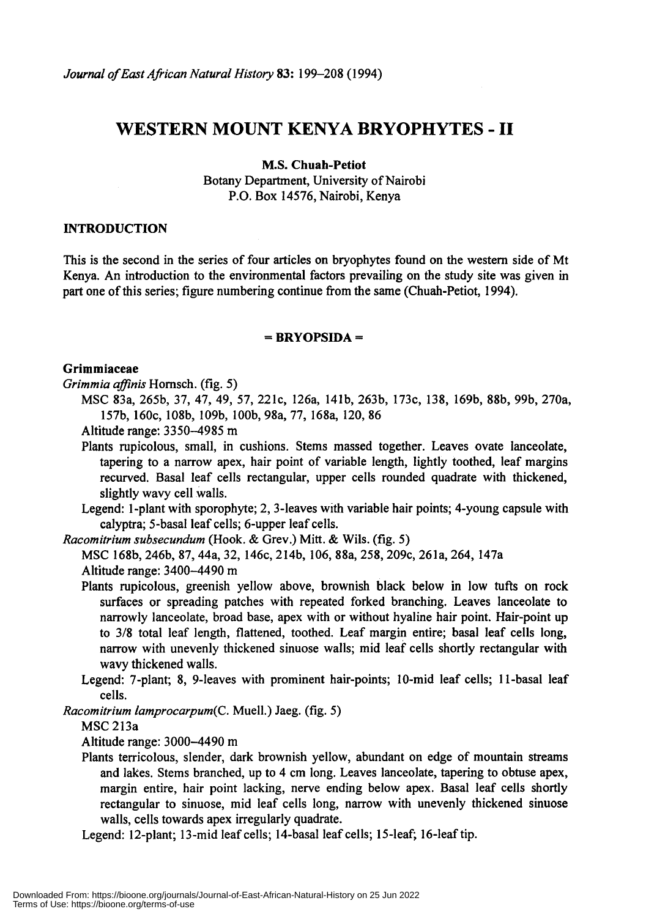# **WESTERN MOUNT KENYA BRYOPHYTES - II**

M.S. **Chuah-Petiot**

Botany Department, University of Nairobi P.O. Box 14576, Nairobi, Kenya

# **INTRODUCTION**

This is the second in the series of four articles on bryophytes found on the western side of Mt Kenya. An introduction to the environmental factors prevailing on the study site was given in part one of this series; figure numbering continue from the same (Chuah-petiot, 1994).

#### = **BRYOPSIDA =**

### **Grimmiaceae**

*Grimmia affinis* Hornsch. (fig. 5)

MSC 83a, 265b, 37, 47, 49, 57, 221c, 126a, 141b, 263b, 173c, 138, 169b, 88b, 99b, 270a, 157b, 160c, 108b, 109b, 100b,98a, 77, 168a, 120,86

Altitude range: 3350-4985 m

Plants rupicolous, small, in cushions. Stems massed together. Leaves ovate lanceolate, tapering to a narrow apex, hair point of variable length, lightly toothed, leaf margins recurved. Basal leaf cells rectangular, upper cells rounded quadrate with thickened, slightly wavy cell walls.

Legend: I-plant with sporophyte; 2, 3-leaves with variable hair points; 4-young capsule with calyptra; 5-basal leaf cells; 6-upper leaf cells.

*Racomitrium subsecundum* (Hook. & Grev.) Mitt. & Wils. (fig. 5)

MSC 168b,246b,87,44a,32, 146c,214b, 106, 88a, 258, 209c, 26Ia,264, 147a Altitude range: 3400-4490 m

Plants rupicolous, greenish yellow above, brownish black below in low tufts on rock surfaces or spreading patches with repeated forked branching. Leaves lanceolate to narrowly lanceolate, broad base, apex with or without hyaline hair point. Hair-point up to 3/8 total leaf length, flattened, toothed. Leaf margin entire; basal leaf cells long, narrow with unevenly thickened sinuose walls; mid leaf cells shortly rectangular with wavy thickened walls.

Legend: 7-plant; 8, 9-leaves with prominent hair-points; 10-mid leaf cells; 11-basal leaf cells.

*Racomitrium lamprocarpum(C.* Muell.) Jaeg. (fig. 5)

MSC 213a

Altitude range: 3000-4490 m

Plants terricolous, slender, dark brownish yellow, abundant on edge of mountain streams and lakes. Stems branched, up to 4 em long. Leaves lanceolate, tapering to obtuse apex, margin entire, hair point lacking, nerve ending below apex. Basal leaf cells shortly rectangular to sinuose, mid leaf cells long, narrow with unevenly thickened sinuose walls, cells towards apex irregularly quadrate.

Legend: 12-plant; 13-mid leaf cells; 14-basal leaf cells; 15-leaf; 16-leaf tip.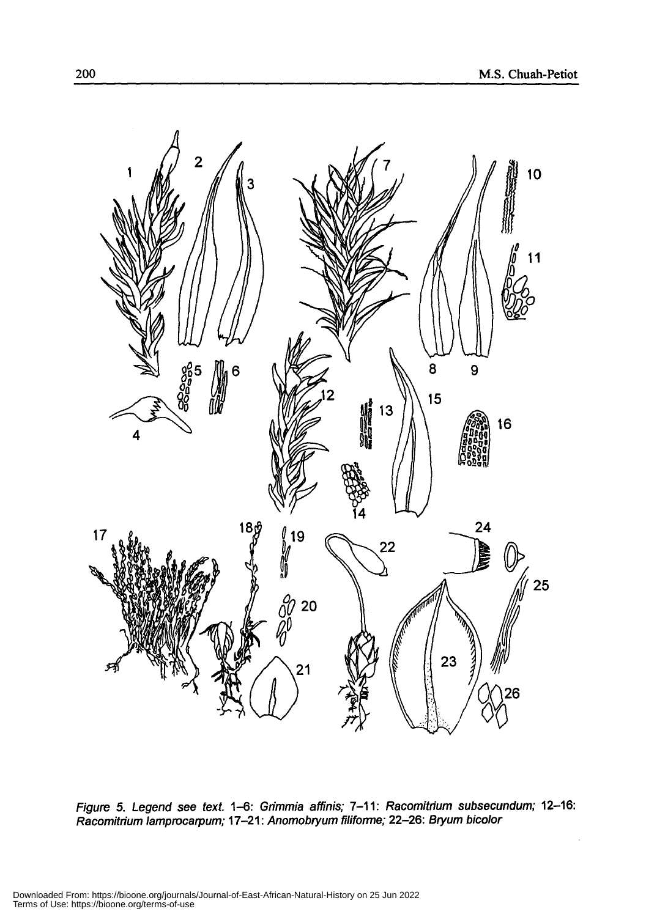$\ddot{\phantom{a}}$ 



Figure 5. Legend see text. 1-6: Grimmia affinis; 7-11: Racomitrium subsecundum; 12-16: Racomitrium lamprocarpum; 17-21: Anomobryum filiforme; 22-26: Sryum bicolor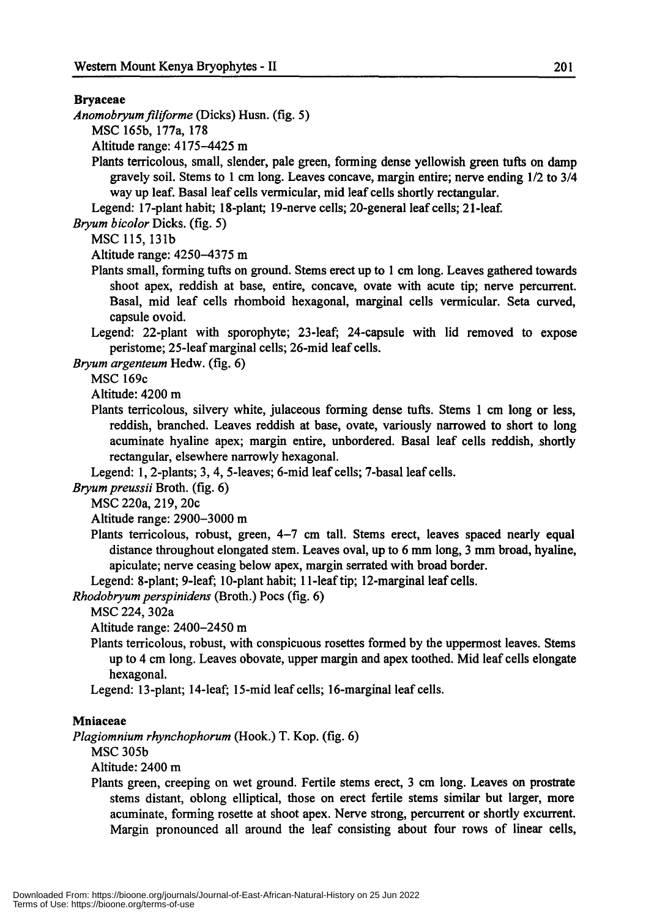#### Bryaceae

- *Anomobryumfi/iforme* (Dicks) Husn. (fig. 5)
	- MSC 165b, 177a, 178

Altitude range: 4175-4425 m

Plants terricolous, small, slender, pale green, forming dense yellowish green tufts on damp gravely soil. Stems to 1 cm long. Leaves concave, margin entire; nerve ending 1/2 to 3/4 way up leaf. Basal leaf cells vermicular, mid leaf cells shortly rectangular.

Legend: 17-plant habit; 18-plant; 19-nerve cells; 20-general leaf cells; 21-leaf.

*Bryum bicolor Dicks.* (fig. 5)

MSC 115, 131b

Altitude range: 4250-4375 m

- Plants small, forming tufts on ground. Stems erect up to 1 cm long. Leaves gathered towards shoot apex, reddish at base, entire, concave, ovate with acute tip; nerve percurrent. Basal, mid leaf cells rhomboid hexagonal, marginal cells vermicular. Seta curved, capsule ovoid.
- Legend: 22-plant with sporophyte; 23-leaf; 24-capsule with lid removed to expose peristome; 25-leafmarginal cells; 26-mid leaf cells.

*Bryum argenteum* Hedw. (fig. 6)

MSC 169c

Altitude: 4200 m

Plants terricolous, silvery white, julaceous forming dense tufts. Stems 1 cm long or less, reddish, branched. Leaves reddish at base, ovate, variously narrowed to short to long acuminate hyaline apex; margin entire, unbordered. Basal leaf cells reddish, shortly rectangular, elsewhere narrowly hexagonal.

Legend: 1, 2-plants; 3, 4, 5-leaves; 6-mid leaf cells; 7-basal leaf cells.

*Bryum preussii* Broth. (fig. 6)

MSC 220a, 219, 20c

Altitude range: 2900-3000 m

Plants terricolous, robust, green, 4-7 cm tall. Stems erect, leaves spaced nearly equal distance throughout elongated stem. Leaves oval, up to 6 mm long, 3 mm broad, hyaline, apiculate; nerve ceasing below apex, margin serrated with broad border.

Legend: 8-plant; 9-leaf; 10-plant habit; 11-leaf tip; 12-marginal leaf cells.

*Rhodobryum perspinidens* (Broth.) Pocs (fig. 6)

MSC 224, 302a

Altitude range: 2400-2450 m

Plants terricolous, robust, with conspicuous rosettes formed by the uppermost leaves. Stems up to 4 cm long. Leaves obovate, upper margin and apex toothed. Mid leaf cells elongate hexagonal.

Legend: 13-plant; 14-leaf; 15-mid leaf cells; 16-marginal leaf cells.

#### Mniaceae

*P/agiomnium rhynehophorum* (Hook.) T. Kop. (fig. 6)

MSC 305b

Altitude: 2400 m

Plants green, creeping on wet ground. Fertile stems erect, 3 cm long. Leaves on prostrate stems distant, oblong elliptical, those on erect fertile stems similar but larger, more acuminate, forming rosette at shoot apex. Nerve strong, percurrent or shortly excurrent. Margin pronounced all around the leaf consisting about four rows of linear cells,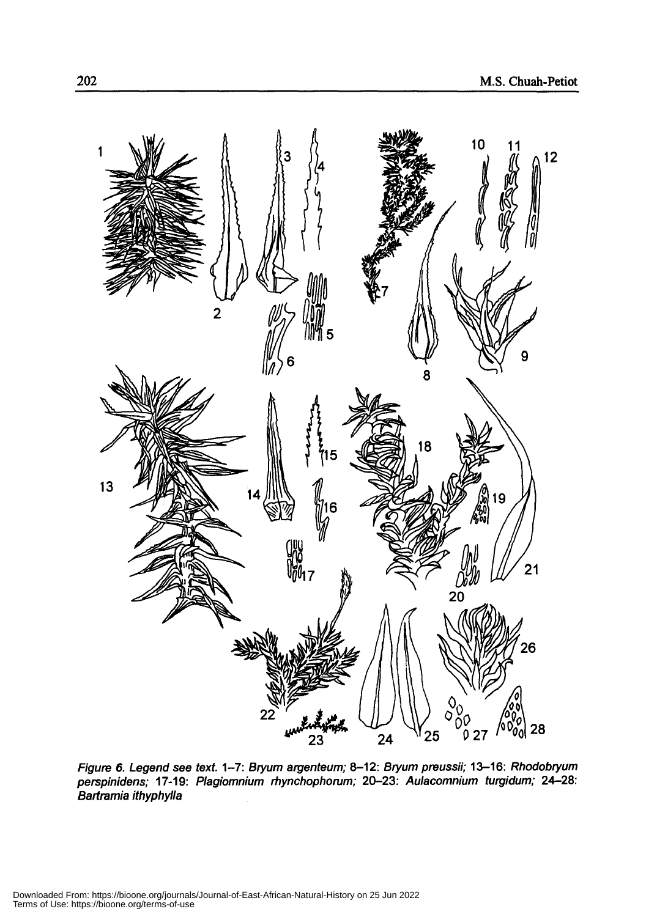

Figure 6. Legend see text. 1-7: Bryum argenteum; 8-12: Bryum preussii; 13-16: Rhodobryum perspinidens; 17-19: Plagiomnium rhynchophorum; 20-23: Aulacomnium turgidum; 24-28: Bartramia ithyphylla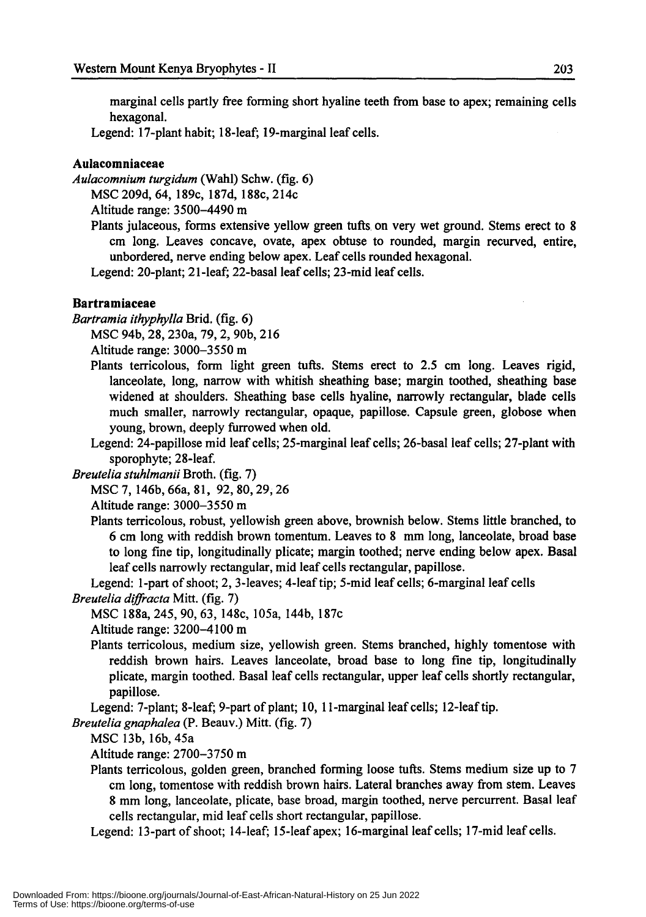marginal cells partly free forming short hyaline teeth from base to apex; remaining cells hexagonal.

Legend: 17-plant habit; 18-leaf; 19-marginal leaf cells.

# **Aulacomniaceae**

*Aulacomnium turgidum* (Wahl) Schw. (fig. 6)

MSC209d,64, 189c, 187d, 188c,214c

Altitude range: 3500-4490 m

Plants julaceous, forms extensive yellow green tufts. on very wet ground. Stems erect to 8 cm long. Leaves concave, ovate, apex obtuse to rounded, margin recurved, entire, unbordered, nerve ending below apex. Leaf cells rounded hexagonal.

Legend: 20-plant; 21-leaf; 22-basal leaf cells; 23-mid leaf cells.

#### **Bartramiaceae**

*Bartramia ithyphylla* Brid. (fig. 6)

MSC 94b, 28, 230a, 79,2, 90b, 216

Altitude range: 3000-3550 m

Plants terricolous, form light green tufts. Stems erect to 2.5 cm long. Leaves rigid, lanceolate, long, narrow with whitish sheathing base; margin toothed, sheathing base widened at shoulders. Sheathing base cells hyaline, narrowly rectangular, blade cells much smaller, narrowly rectangular, opaque, papillose. Capsule green, globose when young, brown, deeply furrowed when old.

Legend: 24-papillose mid leaf cells; 25-marginal leaf cells; 26-basal leaf cells; 27-plant with sporophyte; 28-1eaf.

*Breutelia stuhlmanii* Broth. (fig. 7)

MSC 7, 146b, 66a, 81, 92,80,29,26

Altitude range: 3000-3550 m

Plants terricolous, robust, yellowish green above, brownish below. Stems little branched, to 6 cm long with reddish brown tomentum. Leaves to 8 mm long, lanceolate, broad base to long fine tip, longitudinally plicate; margin toothed; nerve ending below apex. Basal leaf cells narrowly rectangular, mid leaf cells rectangular, papillose.

Legend: 1-part of shoot; 2, 3-leaves; 4-leaf tip; 5-mid leaf cells; 6-marginal leaf cells *Breutelia diffracta* Mitt. (fig. 7)

MSC 188a, 245, 90, 63, 148c, 105a, 144b, 187c

Altitude range: 3200-4100 m

- Plants terricolous, medium size, yellowish green. Stems branched, highly tomentose with reddish brown hairs. Leaves lanceolate, broad base to long fine tip, longitudinally plicate, margin toothed. Basal leaf cells rectangular, upper leaf cells shortly rectangular, papillose.
- Legend: 7-p1ant; 8-1eaf; 9-part of plant; 10, II-marginal leaf cells; 12-leaftip.

*Breutelia gnaphalea* (P. Beauv.) Mitt. (fig. 7)

MSC 13b, 16b, 45a

Altitude range: 2700-3750 m

Plants terricolous, golden green, branched forming loose tufts. Stems medium size up to 7 cm long, tomentose with reddish brown hairs. Lateral branches away from stem. Leaves 8 mm long, lanceolate, plicate, base broad, margin toothed, nerve percurrent. Basal leaf cells rectangular, mid leaf cells short rectangular, papillose.

Legend: 13-part of shoot; 14-leaf; 15-leaf apex; 16-marginal leaf cells; 17-mid leaf cells.

Terms of Use: https://bioone.org/terms-of-use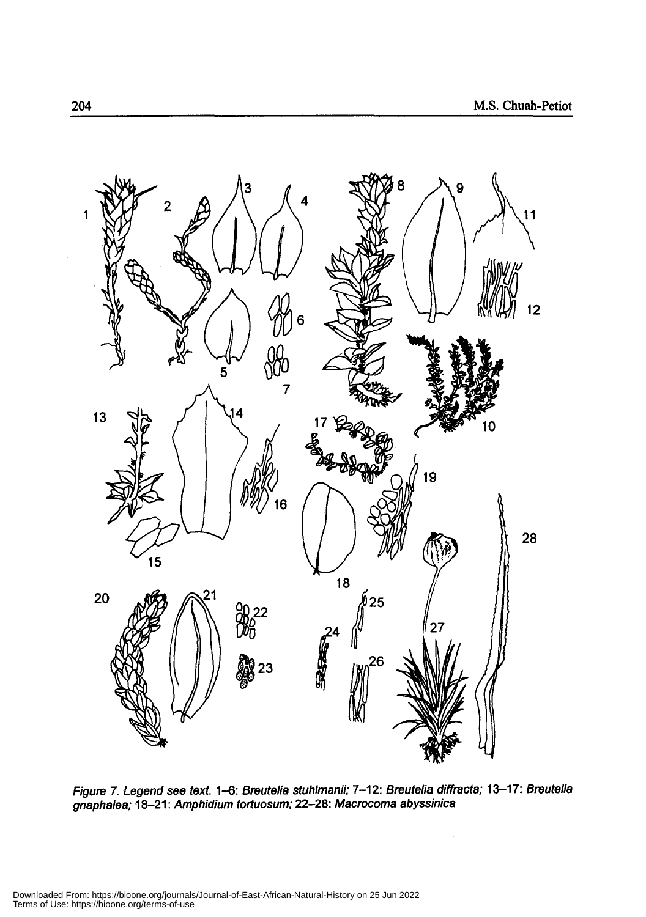

Figure 7. Legend see text. 1–6: Breutelia stuhlmanii; 7–12: Breutelia diffracta; 13–17: Breuteli gnaphalea; 18–21: Amphidium tortuosum; 22–28: Macrocoma abyssinic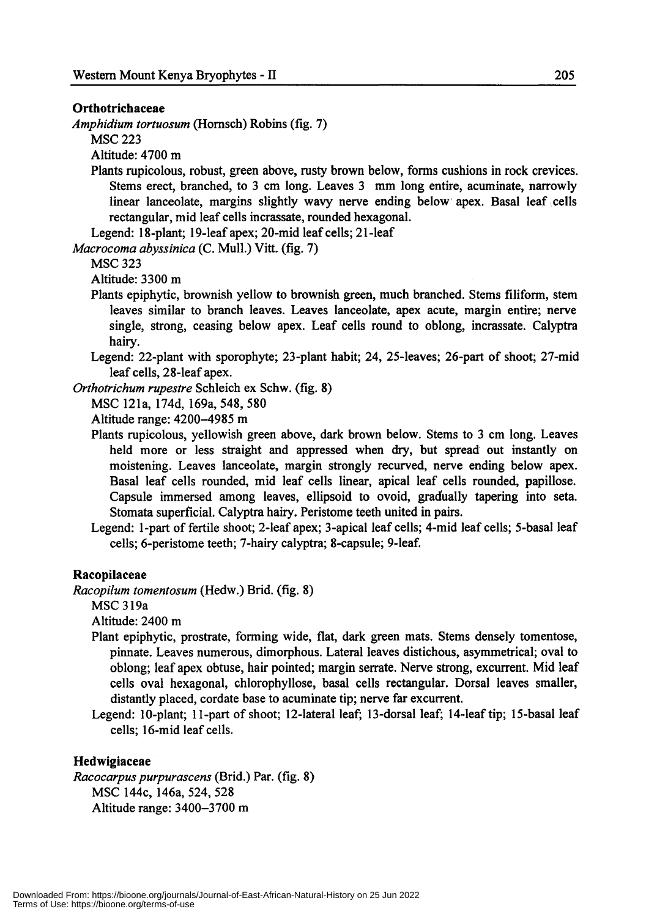#### Orthotrichaceae

*Amphidium tortuosum* (Hornsch) Robins (fig. 7)

MSC 223

Altitude: 4700 m

Plants rupicolous, robust, green above, rusty brown below, forms cushions in rock crevices. Stems erect, branched, to 3 cm long. Leaves 3 mm long entire, acuminate, narrowly linear lanceolate, margins slightly wavy nerve ending below apex. Basal leaf cells rectangular, mid leaf cells incrassate, rounded hexagonal.

Legend: 18-plant; 19-1eafapex; 20-mid leaf cells; 2I-leaf

*Macrocoma abyssinica* (C. Mull.) Vitt. (fig. 7)

MSC 323

Altitude: 3300 m

- Plants epiphytic, brownish yellow to brownish green, much branched. Stems filiform, stem leaves similar to branch leaves. Leaves lanceolate, apex acute, margin entire; nerve single, strong, ceasing below apex. Leaf cells round to oblong, incrassate. Calyptra hairy.
- Legend: 22-plant with sporophyte; 23-plant habit; 24, 25-leaves; 26-part of shoot; 27-mid leaf cells, 28-leaf apex.

*Orthotrichum rupestre* Schleich ex Schw. (fig. 8)

MSC 121a, 174d, 169a, 548, 580

Altitude range: 4200-4985 m

- Plants rupicolous, yellowish green above, dark brown below. Stems to 3 cm long. Leaves held more or less straight and appressed when dry, but spread out instantly on moistening. Leaves lanceolate, margin strongly recurved, nerve ending below apex. Basal leaf cells rounded, mid leaf cells linear, apical leaf cells rounded, papillose. Capsule immersed among leaves, ellipsoid to ovoid, gradually tapering into seta. Stomata superficial. Calyptra hairy. Peristome teeth united in pairs.
- Legend: 1-part of fertile shoot; 2-leaf apex; 3-apical leaf cells; 4-mid leaf cells; 5-basal leaf cells; 6-peristome teeth; 7-hairy calyptra; 8-capsule; 9-leaf.

#### Racopilaceae

*Racopilum tomentosum* (Hedw.) Brid. (fig. 8)

MSC 319a

Altitude: 2400 m

- Plant epiphytic, prostrate, forming wide, flat, dark green mats. Stems densely tomentose, pinnate. Leaves numerous, dimorphous. Lateral leaves distichous, asymmetrical; oval to oblong; leaf apex obtuse, hair pointed; margin serrate. Nerve strong, excurrent. Mid leaf cells oval hexagonal, chlorophyllose, basal cells rectangular. Dorsal leaves smaller, distantly placed, cordate base to acuminate tip; nerve far excurrent.
- Legend: 10-plant; 11-part of shoot; 12-lateral leaf; 13-dorsal leaf; 14-leaf tip; 15-basal leaf cells; 16-mid leaf cells.

#### Hedwigiaceae

*Racocarpus purpurascens* (Brid.) Par. (fig. 8) MSC 144c, 146a, 524, 528 Altitude range: 3400-3700 m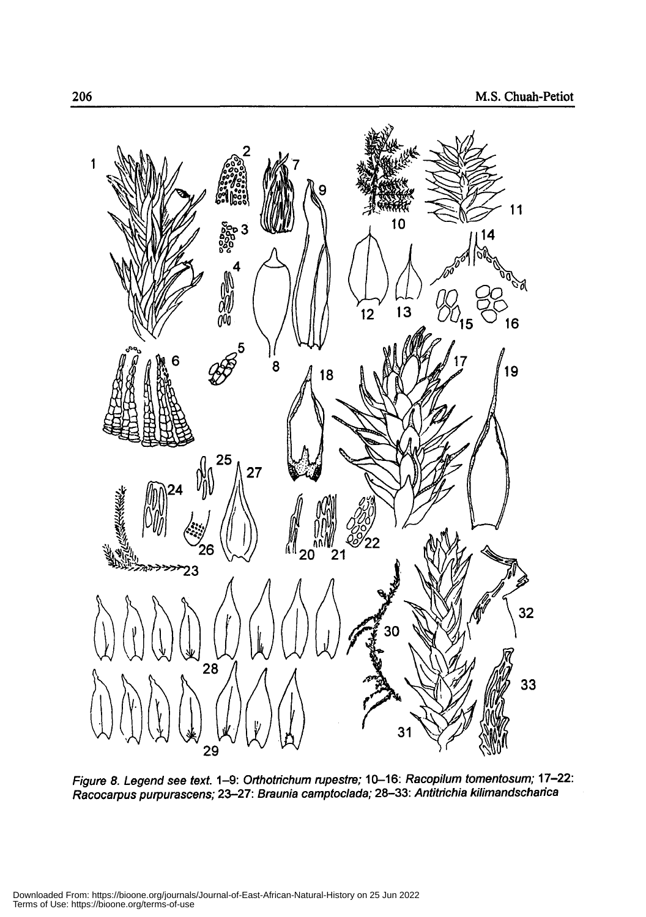

Figure 8. Legend see text. 1-9: Orthotrichum rupestre; 10-16: Racopilum tomentosum; 17-22: Racocarpus purpurascens; 23-27: Braunia camptoclada; 28-33: Antitrichia kilimandscharica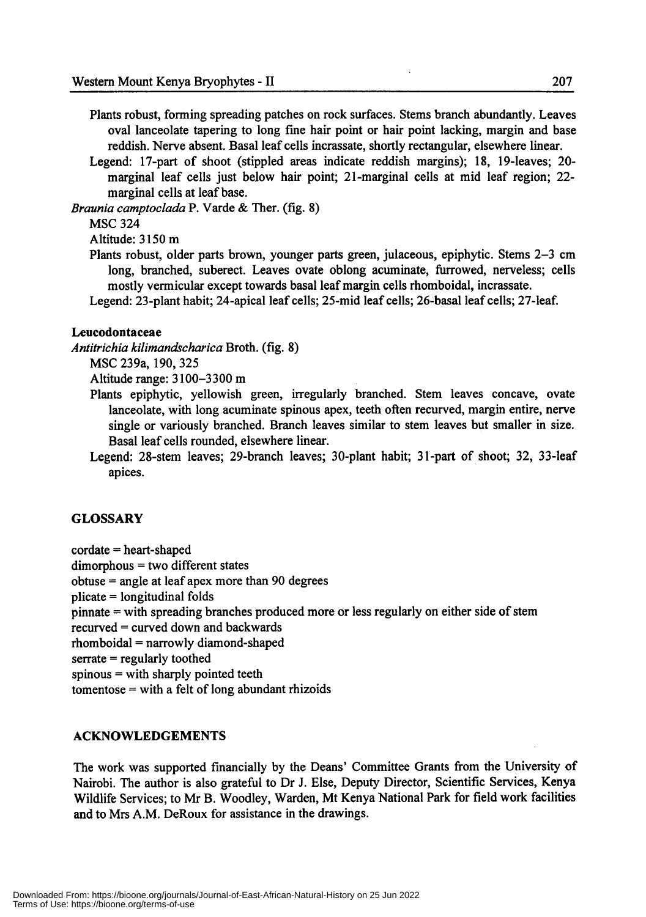- Plants robust, forming spreading patches on rock surfaces. Stems branch abundantly. Leaves oval lanceolate tapering to long fme hair point or hair point lacking, margin and base reddish. Nerve absent. Basal leaf cells incrassate, shortly rectangular, elsewhere linear.
- Legend: 17-part of shoot (stippled areas indicate reddish margins); 18, 19-1eaves; 20 marginal leaf cells just below hair point; 21-marginal cells at mid leaf region; 22 marginal cells at leaf base.

*Braunia camptoclada* P. Yarde & Ther. (fig. 8)

MSC 324

Altitude: 3150 m

Plants robust, older parts brown, younger parts green, julaceous, epiphytic. Stems 2-3 cm long, branched, suberect. Leaves ovate oblong acuminate, furrowed, nerveless; cells mostly vermicular except towards basal leaf margin cells rhomboidal, incrassate.

Legend: 23-plant habit; 24-apical leaf cells; 25-mid leaf cells; 26-basal leaf cells; 27-leaf.

#### Leucodontaceae

*Antitrichia kilimandscharica* Broth. (fig. 8)

MSC 239a, 190,325

Altitude range: 3100-3300 m

- Plants epiphytic, yellowish green, irregularly branched. Stem leaves concave, ovate lanceolate, with long acuminate spinous apex, teeth often recurved, margin entire, nerve single or variously branched. Branch leaves similar to stem leaves but smaller in size. Basal leaf cells rounded, elsewhere linear.
- Legend: 28-stem leaves; 29-branch leaves; 30-plant habit; 31-part of shoot; 32, 33-leaf apices.

# **GLOSSARY**

cordate = heart-shaped

dimorphous = two different states

obtuse = angle at leaf apex more than 90 degrees

plicate = longitudinal folds

pinnate = with spreading branches produced more or less regularly on either side of stem

recurved = curved down and backwards

rhomboidal = narrowly diamond-shaped

serrate = regularly toothed

spinous = with sharply pointed teeth

tomentose = with a felt of long abundant rhizoids

# ACKNOWLEDGEMENTS

The work was supported financially by the Deans' Committee Grants from the University of Nairobi. The author is also grateful to Dr 1. Else, Deputy Director, Scientific Services, Kenya Wildlife Services; to Mr B. Woodley, Warden, Mt Kenya National Park for field work facilities and to Mrs A.M. DeRoux for assistance in the drawings.